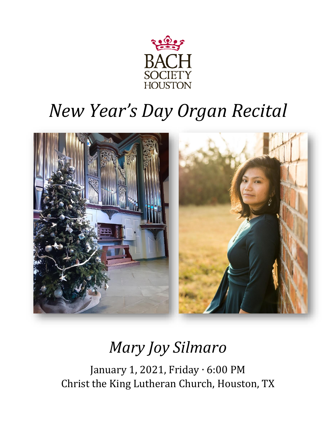

# *New Year's Day Organ Recital*



## *Mary Joy Silmaro*

January 1, 2021, Friday ∙ 6:00 PM Christ the King Lutheran Church, Houston, TX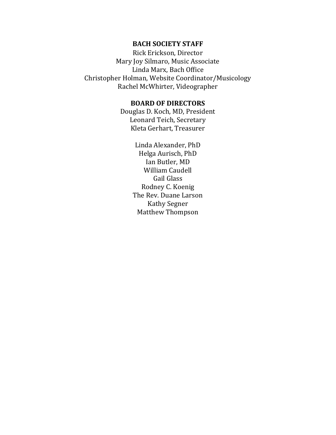#### **BACH SOCIETY STAFF**

Rick Erickson, Director Mary Joy Silmaro, Music Associate Linda Marx, Bach Office Christopher Holman, Website Coordinator/Musicology Rachel McWhirter, Videographer

#### **BOARD OF DIRECTORS**

Douglas D. Koch, MD, President Leonard Teich, Secretary Kleta Gerhart, Treasurer

> Linda Alexander, PhD Helga Aurisch, PhD Ian Butler, MD William Caudell Gail Glass Rodney C. Koenig The Rev. Duane Larson Kathy Segner Matthew Thompson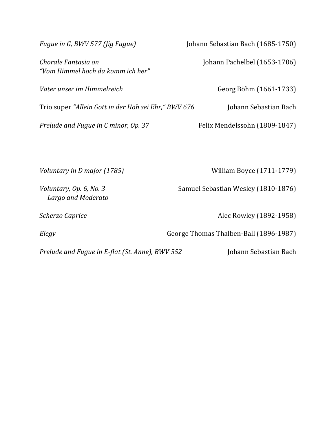| Fugue in G, BWV 577 (Jig Fugue)                          | Johann Sebastian Bach (1685-1750)      |
|----------------------------------------------------------|----------------------------------------|
| Chorale Fantasia on<br>"Vom Himmel hoch da komm ich her" | Johann Pachelbel (1653-1706)           |
| Vater unser im Himmelreich                               | Georg Böhm (1661-1733)                 |
| Trio super "Allein Gott in der Höh sei Ehr," BWV 676     | Johann Sebastian Bach                  |
| Prelude and Fugue in C minor, Op. 37                     | Felix Mendelssohn (1809-1847)          |
|                                                          |                                        |
| Voluntary in D major (1785)                              | William Boyce (1711-1779)              |
| Voluntary, Op. 6, No. 3<br>Largo and Moderato            | Samuel Sebastian Wesley (1810-1876)    |
| Scherzo Caprice                                          | Alec Rowley (1892-1958)                |
| Elegy                                                    | George Thomas Thalben-Ball (1896-1987) |
| Prelude and Fugue in E-flat (St. Anne), BWV 552          | Johann Sebastian Bach                  |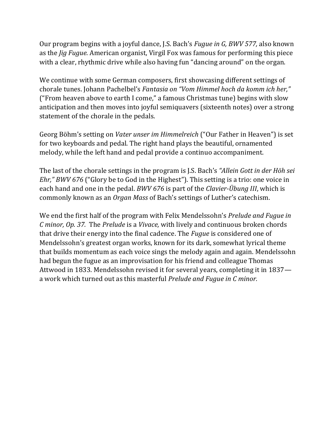Our program begins with a joyful dance, J.S. Bach's *Fugue in G, BWV 577,* also known as the *Jig Fugue.* American organist, Virgil Fox was famous for performing this piece with a clear, rhythmic drive while also having fun "dancing around" on the organ.

We continue with some German composers, first showcasing different settings of chorale tunes. Johann Pachelbel's *Fantasia on "Vom Himmel hoch da komm ich her,"*  ("From heaven above to earth I come," a famous Christmas tune) begins with slow anticipation and then moves into joyful semiquavers (sixteenth notes) over a strong statement of the chorale in the pedals.

Georg Böhm's setting on *Vater unser im Himmelreich* ("Our Father in Heaven") is set for two keyboards and pedal. The right hand plays the beautiful, ornamented melody, while the left hand and pedal provide a continuo accompaniment.

The last of the chorale settings in the program is J.S. Bach's *"Allein Gott in der Höh sei Ehr," BWV 676* ("Glory be to God in the Highest"). This setting is a trio: one voice in each hand and one in the pedal. *BWV 676* is part of the *Clavier-Übung III*, which is commonly known as an *Organ Mass* of Bach's settings of Luther's catechism.

We end the first half of the program with Felix Mendelssohn's *Prelude and Fugue in C minor, Op. 37.* The *Prelude* is a *Vivace,* with lively and continuous broken chords that drive their energy into the final cadence. The *Fugue* is considered one of Mendelssohn's greatest organ works, known for its dark, somewhat lyrical theme that builds momentum as each voice sings the melody again and again. Mendelssohn had begun the fugue as an improvisation for his friend and colleague Thomas Attwood in 1833. Mendelssohn revised it for several years, completing it in 1837 a work which turned out as this masterful *Prelude and Fugue in C minor.*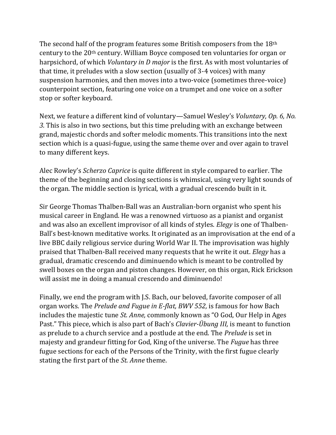The second half of the program features some British composers from the 18th century to the 20th century. William Boyce composed ten voluntaries for organ or harpsichord, of which *Voluntary in D major* is the first. As with most voluntaries of that time, it preludes with a slow section (usually of 3-4 voices) with many suspension harmonies, and then moves into a two-voice (sometimes three-voice) counterpoint section, featuring one voice on a trumpet and one voice on a softer stop or softer keyboard.

Next, we feature a different kind of voluntary—Samuel Wesley's *Voluntary, Op. 6, No. 3.* This is also in two sections, but this time preluding with an exchange between grand, majestic chords and softer melodic moments. This transitions into the next section which is a quasi-fugue, using the same theme over and over again to travel to many different keys.

Alec Rowley's *Scherzo Caprice* is quite different in style compared to earlier. The theme of the beginning and closing sections is whimsical, using very light sounds of the organ. The middle section is lyrical, with a gradual crescendo built in it.

Sir George Thomas Thalben-Ball was an Australian-born organist who spent his musical career in England. He was a renowned virtuoso as a pianist and organist and was also an excellent improvisor of all kinds of styles. *Elegy* is one of Thalben-Ball's best-known meditative works. It originated as an improvisation at the end of a live BBC daily religious service during World War II. The improvisation was highly praised that Thalben-Ball received many requests that he write it out. *Elegy* has a gradual, dramatic crescendo and diminuendo which is meant to be controlled by swell boxes on the organ and piston changes. However, on this organ, Rick Erickson will assist me in doing a manual crescendo and diminuendo!

Finally, we end the program with J.S. Bach, our beloved, favorite composer of all organ works. The *Prelude and Fugue in E-flat, BWV 552,* is famous for how Bach includes the majestic tune *St. Anne,* commonly known as "O God, Our Help in Ages Past." This piece, which is also part of Bach's *Clavier-Übung III,* is meant to function as prelude to a church service and a postlude at the end. The *Prelude* is set in majesty and grandeur fitting for God, King of the universe. The *Fugue* has three fugue sections for each of the Persons of the Trinity, with the first fugue clearly stating the first part of the *St. Anne* theme.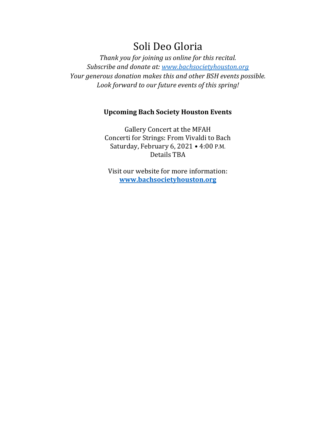### Soli Deo Gloria

*Thank you for joining us online for this recital. Subscribe and donate at: [www.bachsocietyhouston.org](http://www.bachsocietyhouston.org/) Your generous donation makes this and other BSH events possible. Look forward to our future events of this spring!* 

#### **Upcoming Bach Society Houston Events**

Gallery Concert at the MFAH Concerti for Strings: From Vivaldi to Bach Saturday, February 6, 2021 • 4:00 P.M. Details TBA

Visit our website for more information: **[www.bachsocietyhouston.org](http://www.bachsocietyhouston.org/)**